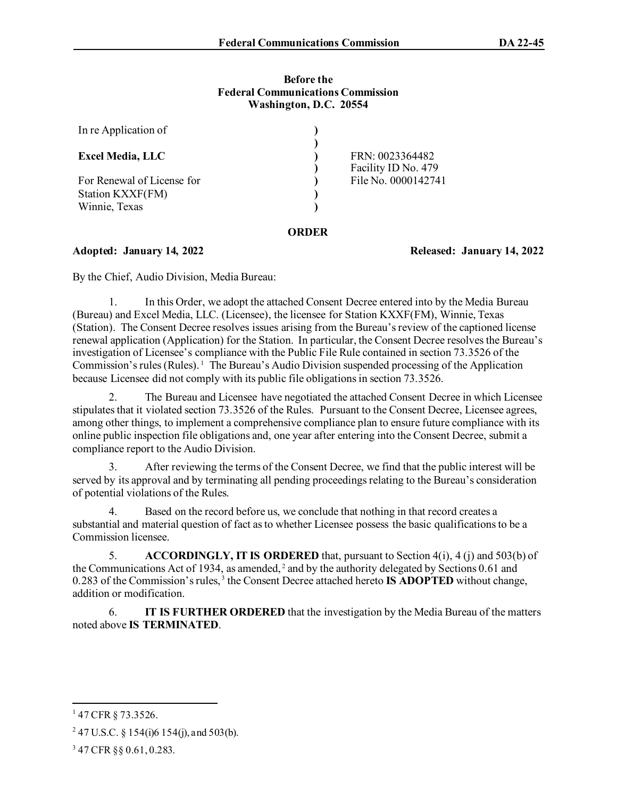#### **Before the Federal Communications Commission Washington, D.C. 20554**

| In re Application of                                            |       |                                        |
|-----------------------------------------------------------------|-------|----------------------------------------|
| <b>Excel Media, LLC</b>                                         |       | FRN: 0023364482<br>Facility ID No. 479 |
| For Renewal of License for<br>Station KXXF(FM)<br>Winnie, Texas |       | File No. 0000142741                    |
|                                                                 | URDER |                                        |

**Adopted: January 14, 2022 Released: January 14, 2022** 

By the Chief, Audio Division, Media Bureau:

1. In this Order, we adopt the attached Consent Decree entered into by the Media Bureau (Bureau) and Excel Media, LLC. (Licensee), the licensee for Station KXXF(FM), Winnie, Texas (Station). The Consent Decree resolves issues arising from the Bureau's review of the captioned license renewal application (Application) for the Station. In particular, the Consent Decree resolves the Bureau's investigation of Licensee's compliance with the Public File Rule contained in section 73.3526 of the Commission's rules (Rules).<sup>[1](#page-0-0)</sup> The Bureau's Audio Division suspended processing of the Application because Licensee did not comply with its public file obligations in section 73.3526.

2. The Bureau and Licensee have negotiated the attached Consent Decree in which Licensee stipulates that it violated section 73.3526 of the Rules. Pursuant to the Consent Decree, Licensee agrees, among other things, to implement a comprehensive compliance plan to ensure future compliance with its online public inspection file obligations and, one year after entering into the Consent Decree, submit a compliance report to the Audio Division.

3. After reviewing the terms of the Consent Decree, we find that the public interest will be served by its approval and by terminating all pending proceedings relating to the Bureau's consideration of potential violations of the Rules.

4. Based on the record before us, we conclude that nothing in that record creates a substantial and material question of fact as to whether Licensee possess the basic qualifications to be a Commission licensee.

5. **ACCORDINGLY, IT IS ORDERED** that, pursuant to Section 4(i), 4 (j) and 503(b) of the Communications Act of 1934, as amended,  $2$  and by the authority delegated by Sections 0.61 and 0.283 of the Commission's rules, [3](#page-0-2) the Consent Decree attached hereto **IS ADOPTED** without change, addition or modification.

6. **IT IS FURTHER ORDERED** that the investigation by the Media Bureau of the matters noted above **IS TERMINATED**.

<span id="page-0-0"></span><sup>&</sup>lt;sup>1</sup> 47 CFR § 73.3526.

<span id="page-0-1"></span><sup>&</sup>lt;sup>2</sup> 47 U.S.C. § 154(i)6 154(j), and 503(b).

<span id="page-0-2"></span><sup>3</sup> 47 CFR §§ 0.61, 0.283.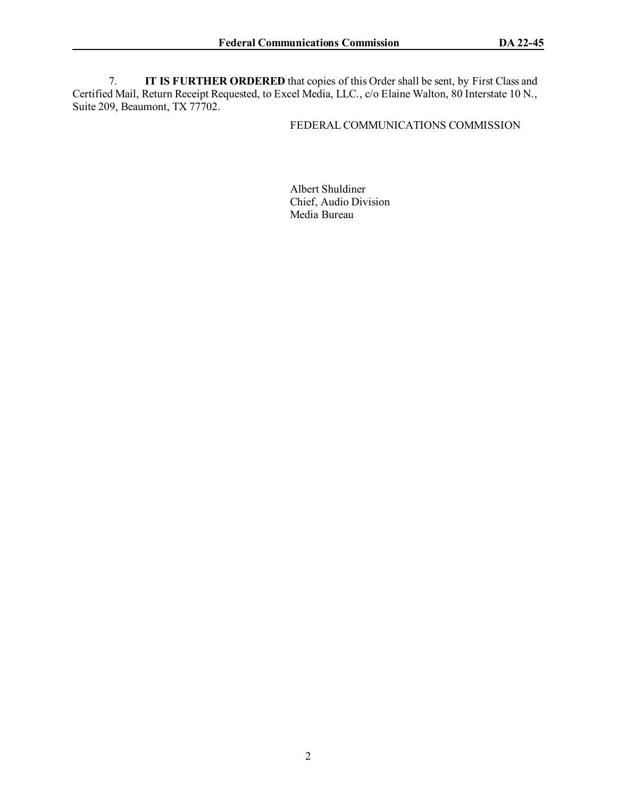7. **IT IS FURTHER ORDERED** that copies of this Order shall be sent, by First Class and Certified Mail, Return Receipt Requested, to Excel Media, LLC., c/o Elaine Walton, 80 Interstate 10 N., Suite 209, Beaumont, TX 77702.

### FEDERAL COMMUNICATIONS COMMISSION

Albert Shuldiner Chief, Audio Division Media Bureau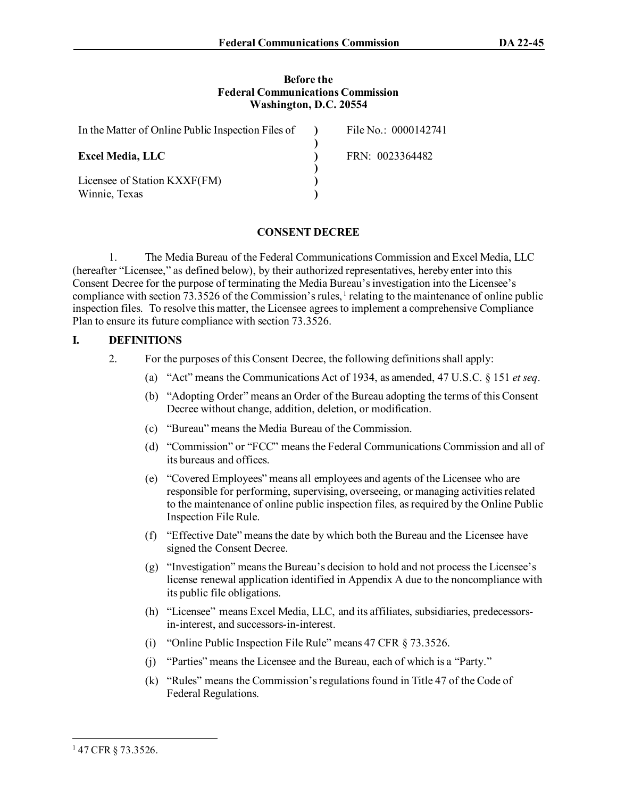#### **Before the Federal Communications Commission Washington, D.C. 20554**

| In the Matter of Online Public Inspection Files of | File No.: 0000142741 |
|----------------------------------------------------|----------------------|
| <b>Excel Media, LLC</b>                            | FRN: 0023364482      |
| Licensee of Station KXXF(FM)<br>Winnie, Texas      |                      |

# **CONSENT DECREE**

1. The Media Bureau of the Federal Communications Commission and Excel Media, LLC (hereafter "Licensee," as defined below), by their authorized representatives, hereby enter into this Consent Decree for the purpose of terminating the Media Bureau's investigation into the Licensee's compliance with section 73.3526 of the Commission's rules,  $\frac{1}{1}$  $\frac{1}{1}$  $\frac{1}{1}$  relating to the maintenance of online public inspection files. To resolve this matter, the Licensee agrees to implement a comprehensive Compliance Plan to ensure its future compliance with section 73.3526.

### **I. DEFINITIONS**

- 2. For the purposes of this Consent Decree, the following definitions shall apply:
	- (a) "Act" means the Communications Act of 1934, as amended, 47 U.S.C. § 151 *et seq*.
	- (b) "Adopting Order" means an Order of the Bureau adopting the terms of this Consent Decree without change, addition, deletion, or modification.
	- (c) "Bureau" means the Media Bureau of the Commission.
	- (d) "Commission" or "FCC" means the Federal Communications Commission and all of its bureaus and offices.
	- (e) "Covered Employees" means all employees and agents of the Licensee who are responsible for performing, supervising, overseeing, or managing activities related to the maintenance of online public inspection files, as required by the Online Public Inspection File Rule.
	- (f) "Effective Date" means the date by which both the Bureau and the Licensee have signed the Consent Decree.
	- (g) "Investigation" means the Bureau's decision to hold and not process the Licensee's license renewal application identified in Appendix A due to the noncompliance with its public file obligations.
	- (h) "Licensee" means Excel Media, LLC, and its affiliates, subsidiaries, predecessorsin-interest, and successors-in-interest.
	- (i) "Online Public Inspection File Rule" means 47 CFR § 73.3526.
	- (j) "Parties" means the Licensee and the Bureau, each of which is a "Party."
	- (k) "Rules" means the Commission's regulations found in Title 47 of the Code of Federal Regulations.

<span id="page-2-0"></span><sup>&</sup>lt;sup>1</sup> 47 CFR § 73.3526.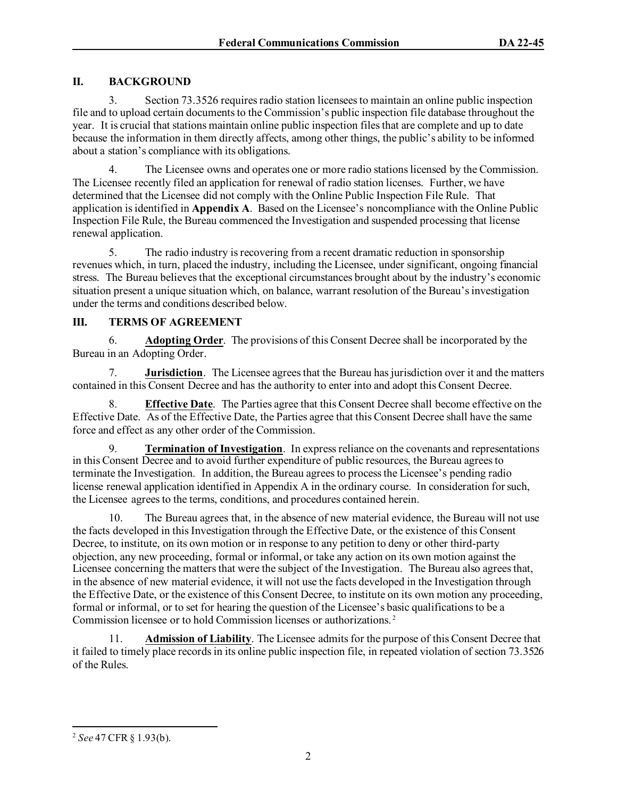## **II. BACKGROUND**

3. Section 73.3526 requiresradio station licensees to maintain an online public inspection file and to upload certain documents to the Commission's public inspection file database throughout the year. It is crucial that stations maintain online public inspection files that are complete and up to date because the information in them directly affects, among other things, the public's ability to be informed about a station's compliance with its obligations.

4. The Licensee owns and operates one or more radio stations licensed by the Commission. The Licensee recently filed an application for renewal of radio station licenses. Further, we have determined that the Licensee did not comply with the Online Public Inspection File Rule. That application isidentified in **Appendix A**. Based on the Licensee's noncompliance with the Online Public Inspection File Rule, the Bureau commenced the Investigation and suspended processing that license renewal application.

5. The radio industry is recovering from a recent dramatic reduction in sponsorship revenues which, in turn, placed the industry, including the Licensee, under significant, ongoing financial stress. The Bureau believes that the exceptional circumstances brought about by the industry's economic situation present a unique situation which, on balance, warrant resolution of the Bureau's investigation under the terms and conditions described below.

### **III. TERMS OF AGREEMENT**

6. **Adopting Order**.The provisions of this Consent Decree shall be incorporated by the Bureau in an Adopting Order.

7. **Jurisdiction**. The Licensee agrees that the Bureau has jurisdiction over it and the matters contained in this Consent Decree and has the authority to enter into and adopt this Consent Decree.

8. **Effective Date**. The Parties agree that this Consent Decree shall become effective on the Effective Date. As of the Effective Date, the Parties agree that this Consent Decree shall have the same force and effect as any other order of the Commission.

9. **Termination of Investigation**.In express reliance on the covenants and representations in this Consent Decree and to avoid further expenditure of public resources, the Bureau agrees to terminate the Investigation. In addition, the Bureau agrees to process the Licensee's pending radio license renewal application identified in Appendix A in the ordinary course. In consideration for such, the Licensee agrees to the terms, conditions, and procedures contained herein.

10. The Bureau agrees that, in the absence of new material evidence, the Bureau will not use the facts developed in this Investigation through the Effective Date, or the existence of this Consent Decree, to institute, on its own motion or in response to any petition to deny or other third-party objection, any new proceeding, formal or informal, or take any action on its own motion against the Licensee concerning the matters that were the subject of the Investigation. The Bureau also agrees that, in the absence of new material evidence, it will not use the facts developed in the Investigation through the Effective Date, or the existence of this Consent Decree, to institute on its own motion any proceeding, formal or informal, or to set for hearing the question of the Licensee's basic qualifications to be a Commission licensee or to hold Commission licenses or authorizations. [2](#page-3-0)

11. **Admission of Liability**. The Licensee admits for the purpose of this Consent Decree that it failed to timely place records in its online public inspection file, in repeated violation of section 73.3526 of the Rules.

<span id="page-3-0"></span><sup>2</sup> *See* 47 CFR § 1.93(b).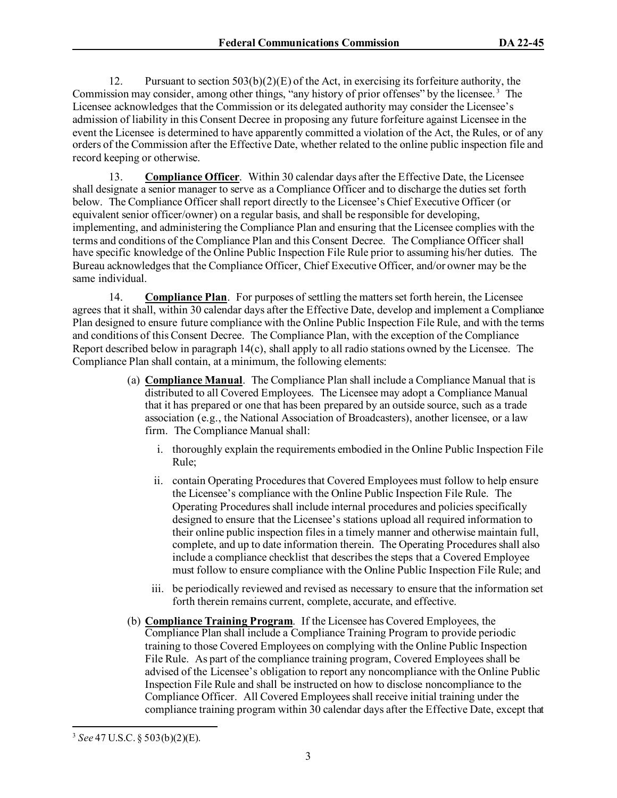12. Pursuant to section  $503(b)(2)(E)$  of the Act, in exercising its forfeiture authority, the Commission may consider, among other things, "any history of prior offenses" by the licensee.<sup>[3](#page-4-0)</sup> The Licensee acknowledges that the Commission or its delegated authority may consider the Licensee's admission of liability in this Consent Decree in proposing any future forfeiture against Licensee in the event the Licensee is determined to have apparently committed a violation of the Act, the Rules, or of any orders of the Commission after the Effective Date, whether related to the online public inspection file and record keeping or otherwise.

13. **Compliance Officer**. Within 30 calendar days after the Effective Date, the Licensee shall designate a senior manager to serve as a Compliance Officer and to discharge the duties set forth below. The Compliance Officer shall report directly to the Licensee's Chief Executive Officer (or equivalent senior officer/owner) on a regular basis, and shall be responsible for developing, implementing, and administering the Compliance Plan and ensuring that the Licensee complies with the terms and conditions of the Compliance Plan and this Consent Decree. The Compliance Officer shall have specific knowledge of the Online Public Inspection File Rule prior to assuming his/her duties. The Bureau acknowledges that the Compliance Officer, Chief Executive Officer, and/or owner may be the same individual.

14. **Compliance Plan**. For purposes of settling the matters set forth herein, the Licensee agrees that it shall, within 30 calendar days after the Effective Date, develop and implement a Compliance Plan designed to ensure future compliance with the Online Public Inspection File Rule, and with the terms and conditions of this Consent Decree. The Compliance Plan, with the exception of the Compliance Report described below in paragraph  $14(c)$ , shall apply to all radio stations owned by the Licensee. The Compliance Plan shall contain, at a minimum, the following elements:

- (a) **Compliance Manual**. The Compliance Plan shall include a Compliance Manual that is distributed to all Covered Employees. The Licensee may adopt a Compliance Manual that it has prepared or one that has been prepared by an outside source, such as a trade association (e.g., the National Association of Broadcasters), another licensee, or a law firm. The Compliance Manual shall:
	- i. thoroughly explain the requirements embodied in the Online Public Inspection File Rule;
	- ii. contain Operating Procedures that Covered Employees must follow to help ensure the Licensee's compliance with the Online Public Inspection File Rule. The Operating Procedures shall include internal procedures and policies specifically designed to ensure that the Licensee's stations upload all required information to their online public inspection files in a timely manner and otherwise maintain full, complete, and up to date information therein. The Operating Procedures shall also include a compliance checklist that describes the steps that a Covered Employee must follow to ensure compliance with the Online Public Inspection File Rule; and
	- iii. be periodically reviewed and revised as necessary to ensure that the information set forth therein remains current, complete, accurate, and effective.
- (b) **Compliance Training Program**. If the Licensee has Covered Employees, the Compliance Plan shall include a Compliance Training Program to provide periodic training to those Covered Employees on complying with the Online Public Inspection File Rule. As part of the compliance training program, Covered Employees shall be advised of the Licensee's obligation to report any noncompliance with the Online Public Inspection File Rule and shall be instructed on how to disclose noncompliance to the Compliance Officer. All Covered Employees shall receive initial training under the compliance training program within 30 calendar days after the Effective Date, except that

<span id="page-4-0"></span><sup>3</sup> *See* 47 U.S.C. § 503(b)(2)(E).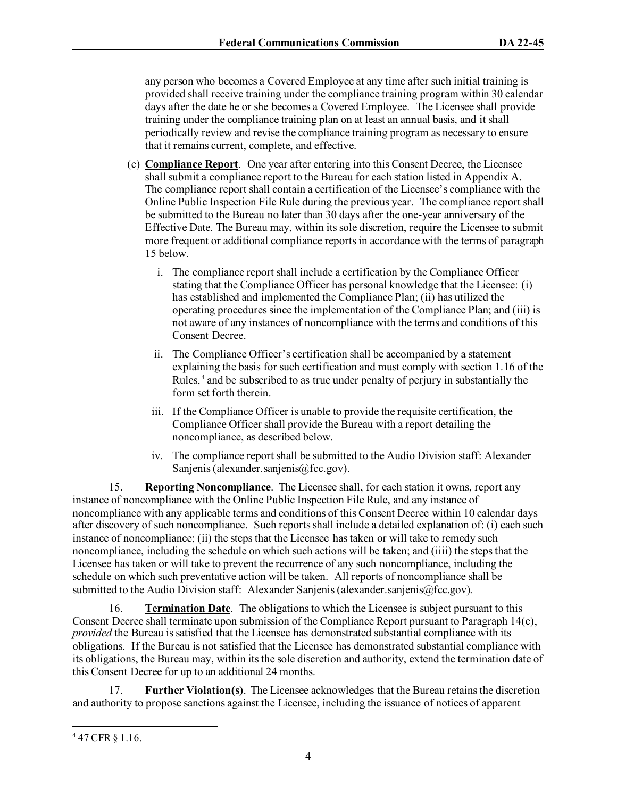any person who becomes a Covered Employee at any time after such initial training is provided shall receive training under the compliance training program within 30 calendar days after the date he or she becomes a Covered Employee. The Licensee shall provide training under the compliance training plan on at least an annual basis, and it shall periodically review and revise the compliance training program as necessary to ensure that it remains current, complete, and effective.

- (c) **Compliance Report**. One year after entering into this Consent Decree, the Licensee shall submit a compliance report to the Bureau for each station listed in Appendix A. The compliance report shall contain a certification of the Licensee's compliance with the Online Public Inspection File Rule during the previous year. The compliance report shall be submitted to the Bureau no later than 30 days after the one-year anniversary of the Effective Date. The Bureau may, within its sole discretion, require the Licensee to submit more frequent or additional compliance reportsin accordance with the terms of paragraph 15 below.
	- i. The compliance report shall include a certification by the Compliance Officer stating that the Compliance Officer has personal knowledge that the Licensee: (i) has established and implemented the Compliance Plan; (ii) has utilized the operating procedures since the implementation of the Compliance Plan; and (iii) is not aware of any instances of noncompliance with the terms and conditions of this Consent Decree.
	- ii. The Compliance Officer's certification shall be accompanied by a statement explaining the basis for such certification and must comply with section 1.16 of the Rules, [4](#page-5-0) and be subscribed to as true under penalty of perjury in substantially the form set forth therein.
	- iii. If the Compliance Officer is unable to provide the requisite certification, the Compliance Officer shall provide the Bureau with a report detailing the noncompliance, as described below.
	- iv. The compliance report shall be submitted to the Audio Division staff: Alexander Sanjenis (alexander.sanjenis@fcc.gov).

15. **Reporting Noncompliance**. The Licensee shall, for each station it owns, report any instance of noncompliance with the Online Public Inspection File Rule, and any instance of noncompliance with any applicable terms and conditions of this Consent Decree within 10 calendar days after discovery of such noncompliance. Such reports shall include a detailed explanation of: (i) each such instance of noncompliance; (ii) the steps that the Licensee has taken or will take to remedy such noncompliance, including the schedule on which such actions will be taken; and (iiii) the steps that the Licensee has taken or will take to prevent the recurrence of any such noncompliance, including the schedule on which such preventative action will be taken. All reports of noncompliance shall be submitted to the Audio Division staff: Alexander Sanjenis (alexander.sanjenis@fcc.gov).

16. **Termination Date**. The obligations to which the Licensee is subject pursuant to this Consent Decree shall terminate upon submission of the Compliance Report pursuant to Paragraph 14(c), *provided* the Bureau is satisfied that the Licensee has demonstrated substantial compliance with its obligations. If the Bureau is not satisfied that the Licensee has demonstrated substantial compliance with its obligations, the Bureau may, within its the sole discretion and authority, extend the termination date of this Consent Decree for up to an additional 24 months.

17. **Further Violation(s)**. The Licensee acknowledges that the Bureau retains the discretion and authority to propose sanctions against the Licensee, including the issuance of notices of apparent

<span id="page-5-0"></span><sup>4</sup> 47 CFR § 1.16.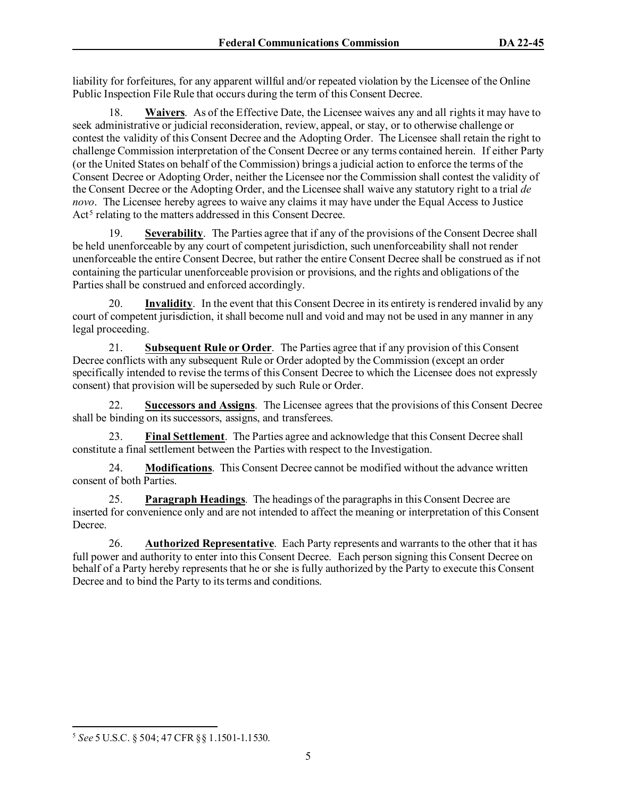liability for forfeitures, for any apparent willful and/or repeated violation by the Licensee of the Online Public Inspection File Rule that occurs during the term of this Consent Decree.

18. **Waivers**. As of the Effective Date, the Licensee waives any and all rights it may have to seek administrative or judicial reconsideration, review, appeal, or stay, or to otherwise challenge or contest the validity of this Consent Decree and the Adopting Order. The Licensee shall retain the right to challenge Commission interpretation of the Consent Decree or any terms contained herein. If either Party (or the United States on behalf of the Commission) brings a judicial action to enforce the terms of the Consent Decree or Adopting Order, neither the Licensee nor the Commission shall contest the validity of the Consent Decree or the Adopting Order, and the Licensee shall waive any statutory right to a trial *de novo*. The Licensee hereby agrees to waive any claims it may have under the Equal Access to Justice Act<sup>[5](#page-6-0)</sup> relating to the matters addressed in this Consent Decree.

19. **Severability**. The Parties agree that if any of the provisions of the Consent Decree shall be held unenforceable by any court of competent jurisdiction, such unenforceability shall not render unenforceable the entire Consent Decree, but rather the entire Consent Decree shall be construed as if not containing the particular unenforceable provision or provisions, and the rights and obligations of the Parties shall be construed and enforced accordingly.

20. **Invalidity**. In the event that this Consent Decree in its entirety is rendered invalid by any court of competent jurisdiction, it shall become null and void and may not be used in any manner in any legal proceeding.

21. **Subsequent Rule or Order**. The Parties agree that if any provision of this Consent Decree conflicts with any subsequent Rule or Order adopted by the Commission (except an order specifically intended to revise the terms of this Consent Decree to which the Licensee does not expressly consent) that provision will be superseded by such Rule or Order.

22. **Successors and Assigns**.The Licensee agrees that the provisions of this Consent Decree shall be binding on its successors, assigns, and transferees.

23. **Final Settlement**. The Parties agree and acknowledge that this Consent Decree shall constitute a final settlement between the Parties with respect to the Investigation.

24. **Modifications**. This Consent Decree cannot be modified without the advance written consent of both Parties.

25. **Paragraph Headings**. The headings of the paragraphs in this Consent Decree are inserted for convenience only and are not intended to affect the meaning or interpretation of this Consent Decree.

26. **Authorized Representative**. Each Party represents and warrants to the other that it has full power and authority to enter into this Consent Decree. Each person signing this Consent Decree on behalf of a Party hereby represents that he or she is fully authorized by the Party to execute this Consent Decree and to bind the Party to its terms and conditions.

<span id="page-6-0"></span><sup>5</sup> *See* 5 U.S.C. § 504; 47 CFR §§ 1.1501-1.1530.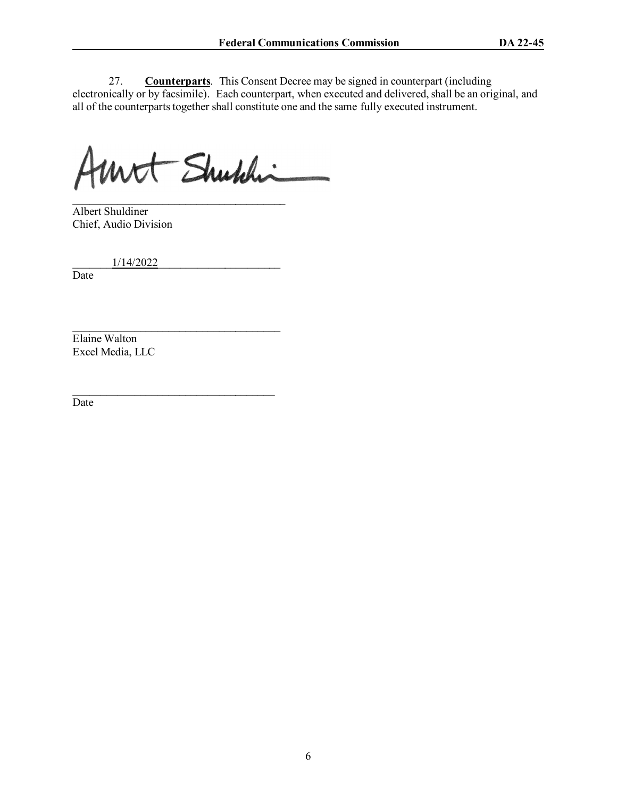27. **Counterparts**. This Consent Decree may be signed in counterpart (including electronically or by facsimile). Each counterpart, when executed and delivered, shall be an original, and all of the counterparts together shall constitute one and the same fully executed instrument.

Unt Shuhhi

 $\mathcal{L}_\text{max}$  , where  $\mathcal{L}_\text{max}$  and  $\mathcal{L}_\text{max}$  and  $\mathcal{L}_\text{max}$ 

 $\mathcal{L}_\text{max}$  , and the set of the set of the set of the set of the set of the set of the set of the set of the set of the set of the set of the set of the set of the set of the set of the set of the set of the set of the

 $\overline{\phantom{a}}$  , and the set of the set of the set of the set of the set of the set of the set of the set of the set of the set of the set of the set of the set of the set of the set of the set of the set of the set of the s Albert Shuldiner Chief, Audio Division

\_\_\_\_\_\_\_1/14/2022\_\_\_\_\_\_\_\_\_\_\_\_\_\_\_\_\_\_\_\_\_\_

Date

Elaine Walton Excel Media, LLC

Date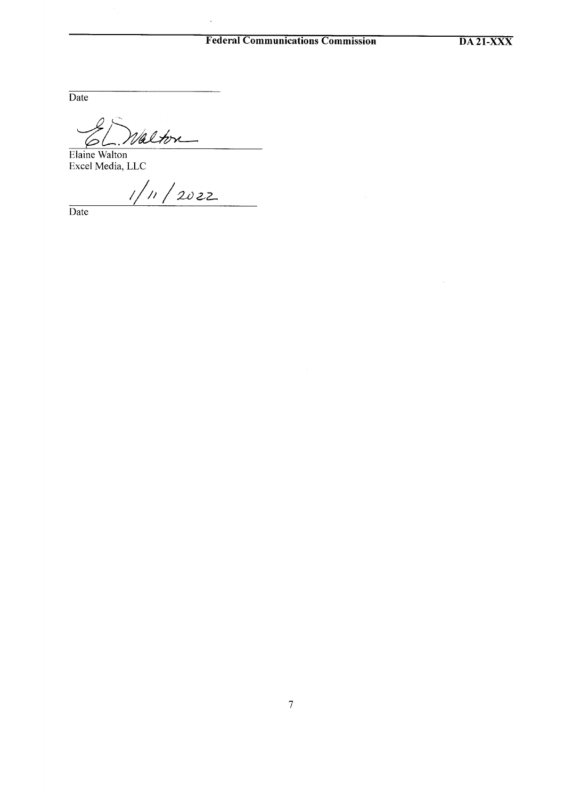### **Federal Communications Commission**

 $\bar{\beta}$ 

 $\overline{\text{Date}}$ 

alton

Elaine Walton<br>Excel Media, LLC

 $1/n / 2022$ 

Date